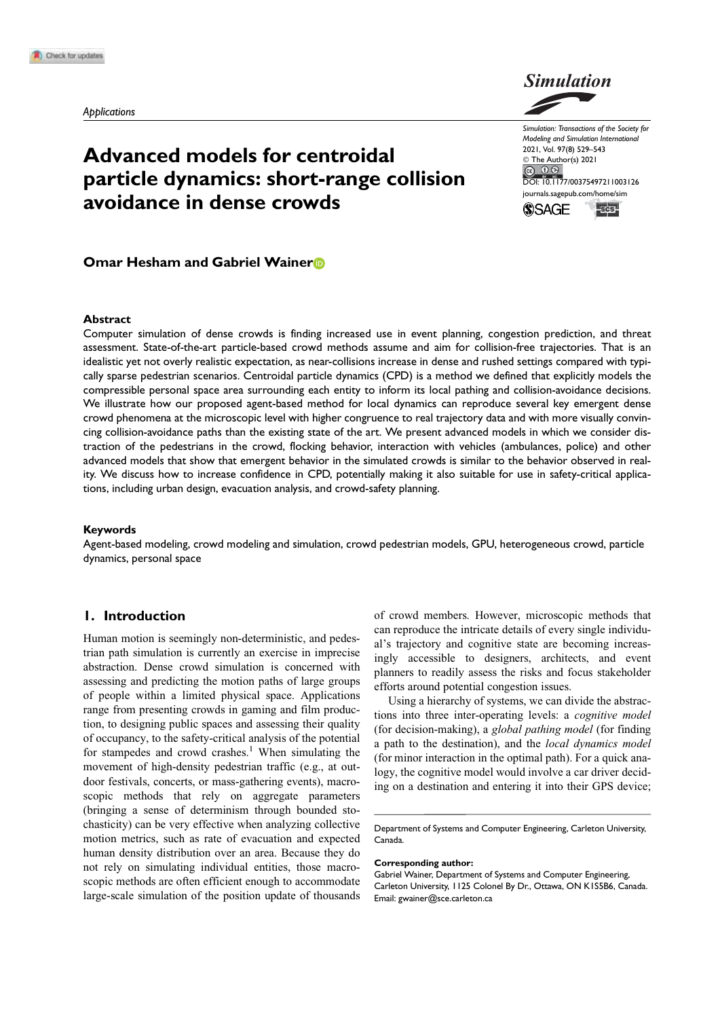

# Advanced models for centroidal particle dynamics: short-range collision avoidance in dense crowds

Simulation: Transactions of the Society for Modeling and Simulation International 2021, Vol. 97(8) 529–543 © The Author(s) 2021 DOI: 10.1177/00375497211003126 journals.sagepub.com/home/sim **SSAGE Escs!** 

## Omar Hesham and Gabriel Wainer<sup>®</sup>

#### Abstract

Computer simulation of dense crowds is finding increased use in event planning, congestion prediction, and threat assessment. State-of-the-art particle-based crowd methods assume and aim for collision-free trajectories. That is an idealistic yet not overly realistic expectation, as near-collisions increase in dense and rushed settings compared with typically sparse pedestrian scenarios. Centroidal particle dynamics (CPD) is a method we defined that explicitly models the compressible personal space area surrounding each entity to inform its local pathing and collision-avoidance decisions. We illustrate how our proposed agent-based method for local dynamics can reproduce several key emergent dense crowd phenomena at the microscopic level with higher congruence to real trajectory data and with more visually convincing collision-avoidance paths than the existing state of the art. We present advanced models in which we consider distraction of the pedestrians in the crowd, flocking behavior, interaction with vehicles (ambulances, police) and other advanced models that show that emergent behavior in the simulated crowds is similar to the behavior observed in reality. We discuss how to increase confidence in CPD, potentially making it also suitable for use in safety-critical applications, including urban design, evacuation analysis, and crowd-safety planning.

## Keywords

Agent-based modeling, crowd modeling and simulation, crowd pedestrian models, GPU, heterogeneous crowd, particle dynamics, personal space

## 1. Introduction

Human motion is seemingly non-deterministic, and pedestrian path simulation is currently an exercise in imprecise abstraction. Dense crowd simulation is concerned with assessing and predicting the motion paths of large groups of people within a limited physical space. Applications range from presenting crowds in gaming and film production, to designing public spaces and assessing their quality of occupancy, to the safety-critical analysis of the potential for stampedes and crowd crashes.<sup>1</sup> When simulating the movement of high-density pedestrian traffic (e.g., at outdoor festivals, concerts, or mass-gathering events), macroscopic methods that rely on aggregate parameters (bringing a sense of determinism through bounded stochasticity) can be very effective when analyzing collective motion metrics, such as rate of evacuation and expected human density distribution over an area. Because they do not rely on simulating individual entities, those macroscopic methods are often efficient enough to accommodate large-scale simulation of the position update of thousands

of crowd members. However, microscopic methods that can reproduce the intricate details of every single individual's trajectory and cognitive state are becoming increasingly accessible to designers, architects, and event planners to readily assess the risks and focus stakeholder efforts around potential congestion issues.

Using a hierarchy of systems, we can divide the abstractions into three inter-operating levels: a cognitive model (for decision-making), a global pathing model (for finding a path to the destination), and the local dynamics model (for minor interaction in the optimal path). For a quick analogy, the cognitive model would involve a car driver deciding on a destination and entering it into their GPS device;

Corresponding author:

Department of Systems and Computer Engineering, Carleton University, Canada.

Gabriel Wainer, Department of Systems and Computer Engineering, Carleton University, 1125 Colonel By Dr., Ottawa, ON K1S5B6, Canada. Email: gwainer@sce.carleton.ca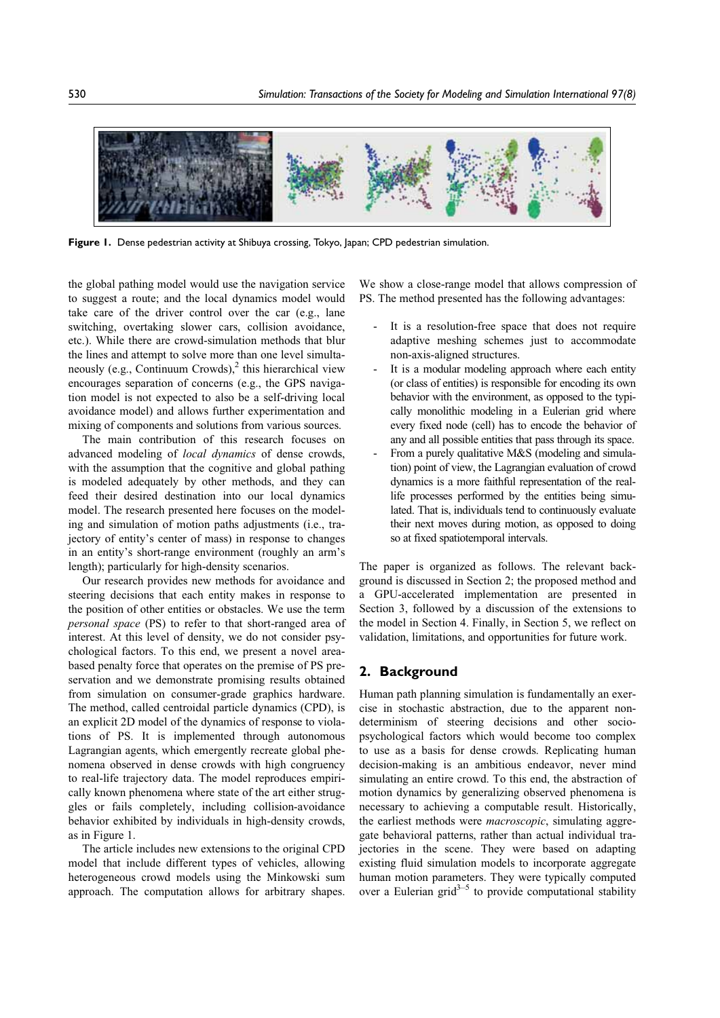

Figure 1. Dense pedestrian activity at Shibuya crossing, Tokyo, Japan; CPD pedestrian simulation.

the global pathing model would use the navigation service to suggest a route; and the local dynamics model would take care of the driver control over the car (e.g., lane switching, overtaking slower cars, collision avoidance, etc.). While there are crowd-simulation methods that blur the lines and attempt to solve more than one level simultaneously (e.g., Continuum Crowds), $^2$  this hierarchical view encourages separation of concerns (e.g., the GPS navigation model is not expected to also be a self-driving local avoidance model) and allows further experimentation and mixing of components and solutions from various sources.

The main contribution of this research focuses on advanced modeling of local dynamics of dense crowds, with the assumption that the cognitive and global pathing is modeled adequately by other methods, and they can feed their desired destination into our local dynamics model. The research presented here focuses on the modeling and simulation of motion paths adjustments (i.e., trajectory of entity's center of mass) in response to changes in an entity's short-range environment (roughly an arm's length); particularly for high-density scenarios.

Our research provides new methods for avoidance and steering decisions that each entity makes in response to the position of other entities or obstacles. We use the term personal space (PS) to refer to that short-ranged area of interest. At this level of density, we do not consider psychological factors. To this end, we present a novel areabased penalty force that operates on the premise of PS preservation and we demonstrate promising results obtained from simulation on consumer-grade graphics hardware. The method, called centroidal particle dynamics (CPD), is an explicit 2D model of the dynamics of response to violations of PS. It is implemented through autonomous Lagrangian agents, which emergently recreate global phenomena observed in dense crowds with high congruency to real-life trajectory data. The model reproduces empirically known phenomena where state of the art either struggles or fails completely, including collision-avoidance behavior exhibited by individuals in high-density crowds, as in Figure 1.

The article includes new extensions to the original CPD model that include different types of vehicles, allowing heterogeneous crowd models using the Minkowski sum approach. The computation allows for arbitrary shapes.

We show a close-range model that allows compression of PS. The method presented has the following advantages:

- It is a resolution-free space that does not require adaptive meshing schemes just to accommodate non-axis-aligned structures.
- It is a modular modeling approach where each entity (or class of entities) is responsible for encoding its own behavior with the environment, as opposed to the typically monolithic modeling in a Eulerian grid where every fixed node (cell) has to encode the behavior of any and all possible entities that pass through its space.
- From a purely qualitative M&S (modeling and simulation) point of view, the Lagrangian evaluation of crowd dynamics is a more faithful representation of the reallife processes performed by the entities being simulated. That is, individuals tend to continuously evaluate their next moves during motion, as opposed to doing so at fixed spatiotemporal intervals.

The paper is organized as follows. The relevant background is discussed in Section 2; the proposed method and a GPU-accelerated implementation are presented in Section 3, followed by a discussion of the extensions to the model in Section 4. Finally, in Section 5, we reflect on validation, limitations, and opportunities for future work.

## 2. Background

Human path planning simulation is fundamentally an exercise in stochastic abstraction, due to the apparent nondeterminism of steering decisions and other sociopsychological factors which would become too complex to use as a basis for dense crowds. Replicating human decision-making is an ambitious endeavor, never mind simulating an entire crowd. To this end, the abstraction of motion dynamics by generalizing observed phenomena is necessary to achieving a computable result. Historically, the earliest methods were *macroscopic*, simulating aggregate behavioral patterns, rather than actual individual trajectories in the scene. They were based on adapting existing fluid simulation models to incorporate aggregate human motion parameters. They were typically computed over a Eulerian grid $3^{-5}$  to provide computational stability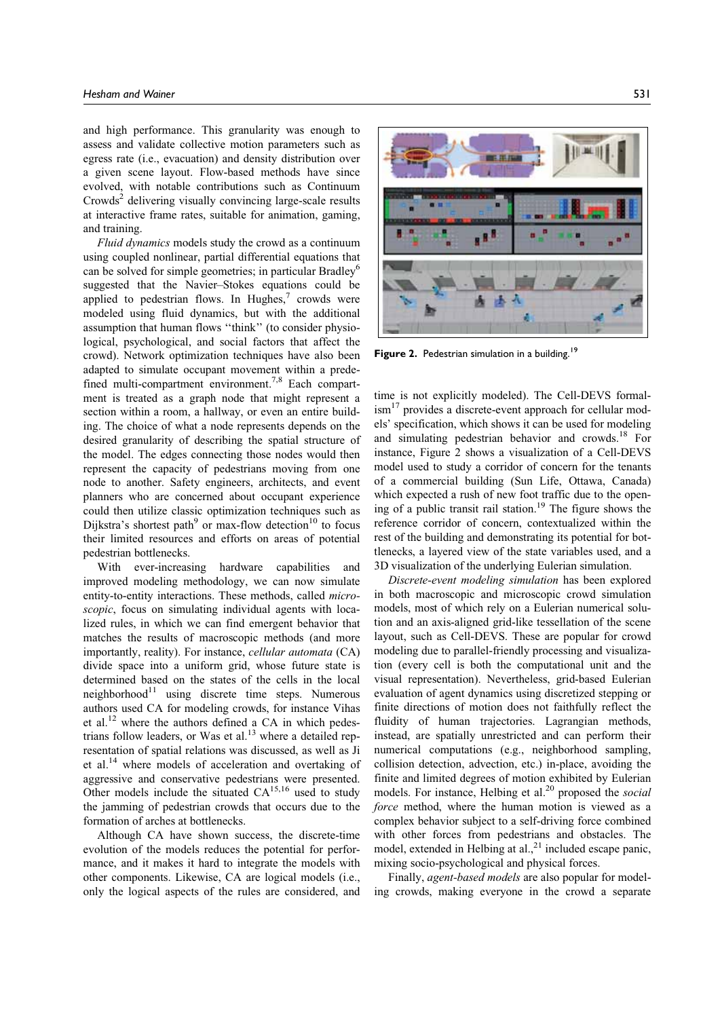and high performance. This granularity was enough to assess and validate collective motion parameters such as egress rate (i.e., evacuation) and density distribution over a given scene layout. Flow-based methods have since evolved, with notable contributions such as Continuum  $Crowds<sup>2</sup>$  delivering visually convincing large-scale results at interactive frame rates, suitable for animation, gaming, and training.

Fluid dynamics models study the crowd as a continuum using coupled nonlinear, partial differential equations that can be solved for simple geometries; in particular Bradley<sup>6</sup> suggested that the Navier–Stokes equations could be applied to pedestrian flows. In Hughes, $7$  crowds were modeled using fluid dynamics, but with the additional assumption that human flows ''think'' (to consider physiological, psychological, and social factors that affect the crowd). Network optimization techniques have also been adapted to simulate occupant movement within a predefined multi-compartment environment.<sup>7,8</sup> Each compartment is treated as a graph node that might represent a section within a room, a hallway, or even an entire building. The choice of what a node represents depends on the desired granularity of describing the spatial structure of the model. The edges connecting those nodes would then represent the capacity of pedestrians moving from one node to another. Safety engineers, architects, and event planners who are concerned about occupant experience could then utilize classic optimization techniques such as Dijkstra's shortest path<sup>9</sup> or max-flow detection<sup>10</sup> to focus their limited resources and efforts on areas of potential pedestrian bottlenecks.

With ever-increasing hardware capabilities and improved modeling methodology, we can now simulate entity-to-entity interactions. These methods, called microscopic, focus on simulating individual agents with localized rules, in which we can find emergent behavior that matches the results of macroscopic methods (and more importantly, reality). For instance, cellular automata (CA) divide space into a uniform grid, whose future state is determined based on the states of the cells in the local neighborhood $11$  using discrete time steps. Numerous authors used CA for modeling crowds, for instance Vihas et al.12 where the authors defined a CA in which pedestrians follow leaders, or Was et al.<sup>13</sup> where a detailed representation of spatial relations was discussed, as well as Ji et al.14 where models of acceleration and overtaking of aggressive and conservative pedestrians were presented. Other models include the situated  $CA^{15,16}$  used to study the jamming of pedestrian crowds that occurs due to the formation of arches at bottlenecks.

Although CA have shown success, the discrete-time evolution of the models reduces the potential for performance, and it makes it hard to integrate the models with other components. Likewise, CA are logical models (i.e., only the logical aspects of the rules are considered, and



**Figure 2.** Pedestrian simulation in a building.<sup>19</sup>

time is not explicitly modeled). The Cell-DEVS formal- $\mathrm{ism}^{17}$  provides a discrete-event approach for cellular models' specification, which shows it can be used for modeling and simulating pedestrian behavior and crowds.18 For instance, Figure 2 shows a visualization of a Cell-DEVS model used to study a corridor of concern for the tenants of a commercial building (Sun Life, Ottawa, Canada) which expected a rush of new foot traffic due to the opening of a public transit rail station.<sup>19</sup> The figure shows the reference corridor of concern, contextualized within the rest of the building and demonstrating its potential for bottlenecks, a layered view of the state variables used, and a 3D visualization of the underlying Eulerian simulation.

Discrete-event modeling simulation has been explored in both macroscopic and microscopic crowd simulation models, most of which rely on a Eulerian numerical solution and an axis-aligned grid-like tessellation of the scene layout, such as Cell-DEVS. These are popular for crowd modeling due to parallel-friendly processing and visualization (every cell is both the computational unit and the visual representation). Nevertheless, grid-based Eulerian evaluation of agent dynamics using discretized stepping or finite directions of motion does not faithfully reflect the fluidity of human trajectories. Lagrangian methods, instead, are spatially unrestricted and can perform their numerical computations (e.g., neighborhood sampling, collision detection, advection, etc.) in-place, avoiding the finite and limited degrees of motion exhibited by Eulerian models. For instance, Helbing et al.<sup>20</sup> proposed the *social* force method, where the human motion is viewed as a complex behavior subject to a self-driving force combined with other forces from pedestrians and obstacles. The model, extended in Helbing at  $al<sup>21</sup>$  included escape panic, mixing socio-psychological and physical forces.

Finally, agent-based models are also popular for modeling crowds, making everyone in the crowd a separate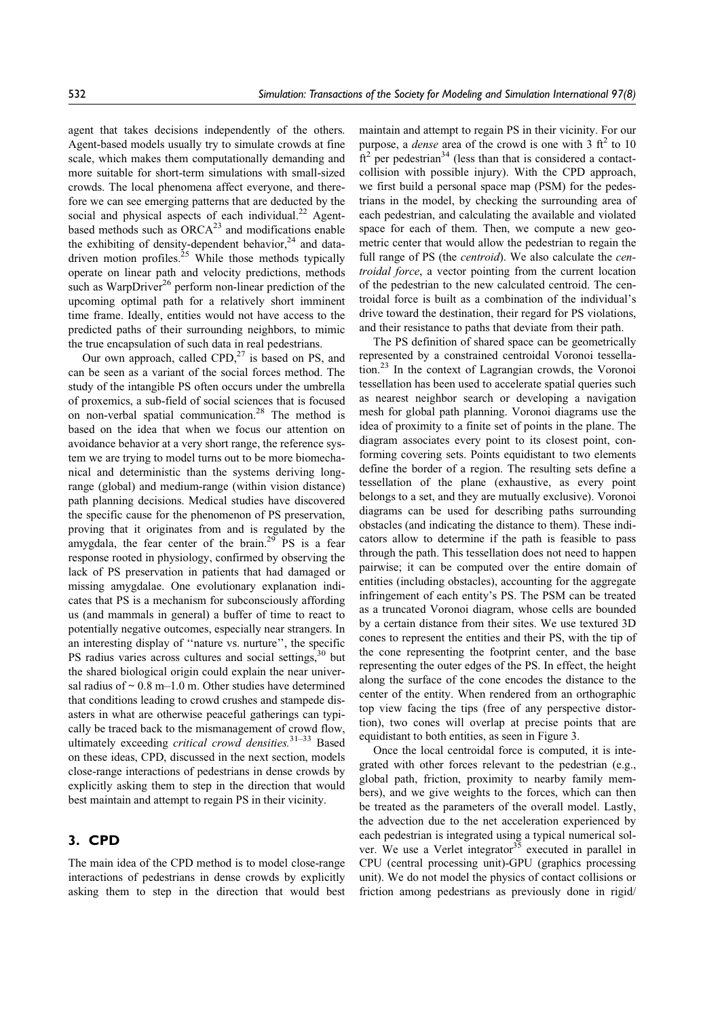agent that takes decisions independently of the others. Agent-based models usually try to simulate crowds at fine scale, which makes them computationally demanding and more suitable for short-term simulations with small-sized crowds. The local phenomena affect everyone, and therefore we can see emerging patterns that are deducted by the social and physical aspects of each individual.<sup>22</sup> Agentbased methods such as  $ORCA^{23}$  and modifications enable the exhibiting of density-dependent behavior, $24$  and datadriven motion profiles.<sup>25</sup> While those methods typically operate on linear path and velocity predictions, methods such as WarpDriver<sup>26</sup> perform non-linear prediction of the upcoming optimal path for a relatively short imminent time frame. Ideally, entities would not have access to the predicted paths of their surrounding neighbors, to mimic the true encapsulation of such data in real pedestrians.

Our own approach, called  $CPD<sub>1</sub><sup>27</sup>$  is based on PS, and can be seen as a variant of the social forces method. The study of the intangible PS often occurs under the umbrella of proxemics, a sub-field of social sciences that is focused on non-verbal spatial communication.<sup>28</sup> The method is based on the idea that when we focus our attention on avoidance behavior at a very short range, the reference system we are trying to model turns out to be more biomechanical and deterministic than the systems deriving longrange (global) and medium-range (within vision distance) path planning decisions. Medical studies have discovered the specific cause for the phenomenon of PS preservation, proving that it originates from and is regulated by the amygdala, the fear center of the brain.<sup>29</sup> PS is a fear response rooted in physiology, confirmed by observing the lack of PS preservation in patients that had damaged or missing amygdalae. One evolutionary explanation indicates that PS is a mechanism for subconsciously affording us (and mammals in general) a buffer of time to react to potentially negative outcomes, especially near strangers. In an interesting display of ''nature vs. nurture'', the specific PS radius varies across cultures and social settings,<sup>30</sup> but the shared biological origin could explain the near universal radius of  $\sim 0.8$  m–1.0 m. Other studies have determined that conditions leading to crowd crushes and stampede disasters in what are otherwise peaceful gatherings can typically be traced back to the mismanagement of crowd flow, ultimately exceeding *critical crowd densities*.<sup>31–33</sup> Based on these ideas, CPD, discussed in the next section, models close-range interactions of pedestrians in dense crowds by explicitly asking them to step in the direction that would best maintain and attempt to regain PS in their vicinity.

# 3. CPD

The main idea of the CPD method is to model close-range interactions of pedestrians in dense crowds by explicitly asking them to step in the direction that would best maintain and attempt to regain PS in their vicinity. For our purpose, a *dense* area of the crowd is one with  $3 \text{ ft}^2$  to 10  $\hat{f}t^2$  per pedestrian<sup>34</sup> (less than that is considered a contactcollision with possible injury). With the CPD approach, we first build a personal space map (PSM) for the pedestrians in the model, by checking the surrounding area of each pedestrian, and calculating the available and violated space for each of them. Then, we compute a new geometric center that would allow the pedestrian to regain the full range of PS (the *centroid*). We also calculate the *cen*troidal force, a vector pointing from the current location of the pedestrian to the new calculated centroid. The centroidal force is built as a combination of the individual's drive toward the destination, their regard for PS violations, and their resistance to paths that deviate from their path.

The PS definition of shared space can be geometrically represented by a constrained centroidal Voronoi tessellation.23 In the context of Lagrangian crowds, the Voronoi tessellation has been used to accelerate spatial queries such as nearest neighbor search or developing a navigation mesh for global path planning. Voronoi diagrams use the idea of proximity to a finite set of points in the plane. The diagram associates every point to its closest point, conforming covering sets. Points equidistant to two elements define the border of a region. The resulting sets define a tessellation of the plane (exhaustive, as every point belongs to a set, and they are mutually exclusive). Voronoi diagrams can be used for describing paths surrounding obstacles (and indicating the distance to them). These indicators allow to determine if the path is feasible to pass through the path. This tessellation does not need to happen pairwise; it can be computed over the entire domain of entities (including obstacles), accounting for the aggregate infringement of each entity's PS. The PSM can be treated as a truncated Voronoi diagram, whose cells are bounded by a certain distance from their sites. We use textured 3D cones to represent the entities and their PS, with the tip of the cone representing the footprint center, and the base representing the outer edges of the PS. In effect, the height along the surface of the cone encodes the distance to the center of the entity. When rendered from an orthographic top view facing the tips (free of any perspective distortion), two cones will overlap at precise points that are equidistant to both entities, as seen in Figure 3.

Once the local centroidal force is computed, it is integrated with other forces relevant to the pedestrian (e.g., global path, friction, proximity to nearby family members), and we give weights to the forces, which can then be treated as the parameters of the overall model. Lastly, the advection due to the net acceleration experienced by each pedestrian is integrated using a typical numerical solver. We use a Verlet integrator $35$  executed in parallel in CPU (central processing unit)-GPU (graphics processing unit). We do not model the physics of contact collisions or friction among pedestrians as previously done in rigid/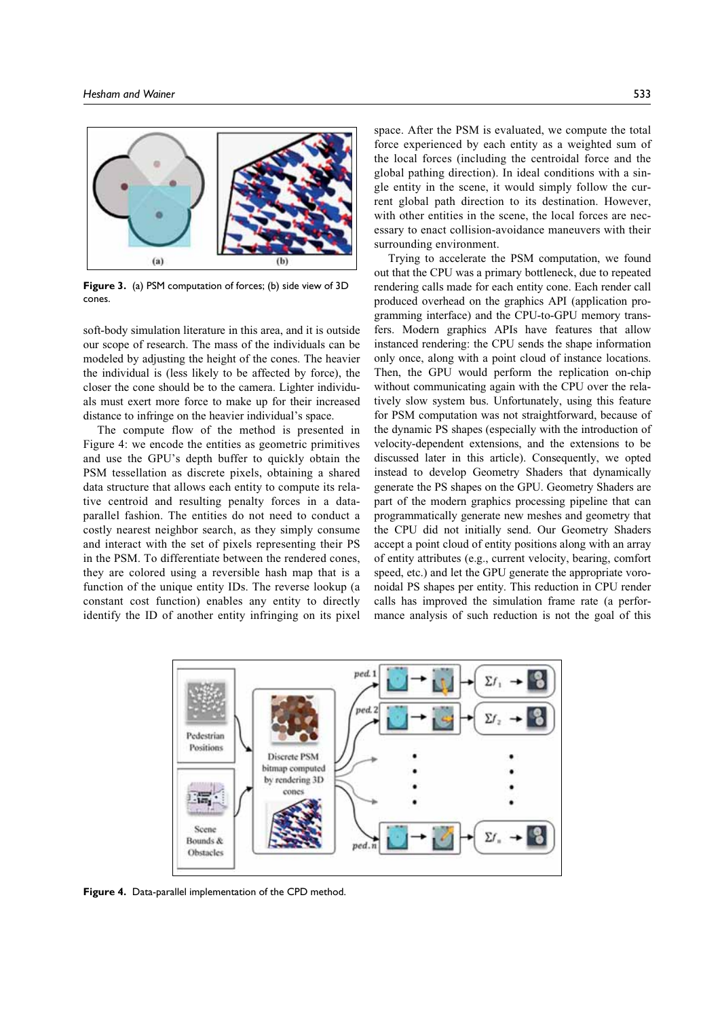

Figure 3. (a) PSM computation of forces; (b) side view of 3D cones.

soft-body simulation literature in this area, and it is outside our scope of research. The mass of the individuals can be modeled by adjusting the height of the cones. The heavier the individual is (less likely to be affected by force), the closer the cone should be to the camera. Lighter individuals must exert more force to make up for their increased distance to infringe on the heavier individual's space.

The compute flow of the method is presented in Figure 4: we encode the entities as geometric primitives and use the GPU's depth buffer to quickly obtain the PSM tessellation as discrete pixels, obtaining a shared data structure that allows each entity to compute its relative centroid and resulting penalty forces in a dataparallel fashion. The entities do not need to conduct a costly nearest neighbor search, as they simply consume and interact with the set of pixels representing their PS in the PSM. To differentiate between the rendered cones, they are colored using a reversible hash map that is a function of the unique entity IDs. The reverse lookup (a constant cost function) enables any entity to directly identify the ID of another entity infringing on its pixel space. After the PSM is evaluated, we compute the total force experienced by each entity as a weighted sum of the local forces (including the centroidal force and the global pathing direction). In ideal conditions with a sin-

gle entity in the scene, it would simply follow the current global path direction to its destination. However, with other entities in the scene, the local forces are necessary to enact collision-avoidance maneuvers with their surrounding environment.

Trying to accelerate the PSM computation, we found out that the CPU was a primary bottleneck, due to repeated rendering calls made for each entity cone. Each render call produced overhead on the graphics API (application programming interface) and the CPU-to-GPU memory transfers. Modern graphics APIs have features that allow instanced rendering: the CPU sends the shape information only once, along with a point cloud of instance locations. Then, the GPU would perform the replication on-chip without communicating again with the CPU over the relatively slow system bus. Unfortunately, using this feature for PSM computation was not straightforward, because of the dynamic PS shapes (especially with the introduction of velocity-dependent extensions, and the extensions to be discussed later in this article). Consequently, we opted instead to develop Geometry Shaders that dynamically generate the PS shapes on the GPU. Geometry Shaders are part of the modern graphics processing pipeline that can programmatically generate new meshes and geometry that the CPU did not initially send. Our Geometry Shaders accept a point cloud of entity positions along with an array of entity attributes (e.g., current velocity, bearing, comfort speed, etc.) and let the GPU generate the appropriate voronoidal PS shapes per entity. This reduction in CPU render calls has improved the simulation frame rate (a performance analysis of such reduction is not the goal of this



Figure 4. Data-parallel implementation of the CPD method.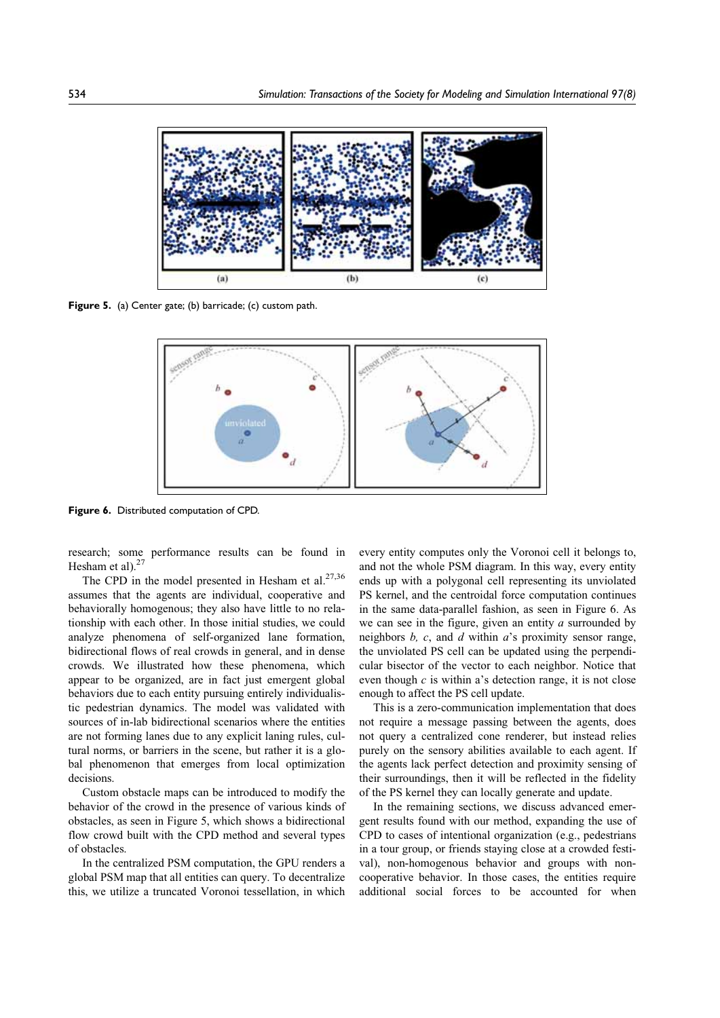

Figure 5. (a) Center gate; (b) barricade; (c) custom path.



Figure 6. Distributed computation of CPD.

research; some performance results can be found in Hesham et al). $27$ 

The CPD in the model presented in Hesham et al. $27,36$ assumes that the agents are individual, cooperative and behaviorally homogenous; they also have little to no relationship with each other. In those initial studies, we could analyze phenomena of self-organized lane formation, bidirectional flows of real crowds in general, and in dense crowds. We illustrated how these phenomena, which appear to be organized, are in fact just emergent global behaviors due to each entity pursuing entirely individualistic pedestrian dynamics. The model was validated with sources of in-lab bidirectional scenarios where the entities are not forming lanes due to any explicit laning rules, cultural norms, or barriers in the scene, but rather it is a global phenomenon that emerges from local optimization decisions.

Custom obstacle maps can be introduced to modify the behavior of the crowd in the presence of various kinds of obstacles, as seen in Figure 5, which shows a bidirectional flow crowd built with the CPD method and several types of obstacles.

In the centralized PSM computation, the GPU renders a global PSM map that all entities can query. To decentralize this, we utilize a truncated Voronoi tessellation, in which every entity computes only the Voronoi cell it belongs to, and not the whole PSM diagram. In this way, every entity ends up with a polygonal cell representing its unviolated PS kernel, and the centroidal force computation continues in the same data-parallel fashion, as seen in Figure 6. As we can see in the figure, given an entity  $a$  surrounded by neighbors  $b$ ,  $c$ , and  $d$  within  $a$ 's proximity sensor range, the unviolated PS cell can be updated using the perpendicular bisector of the vector to each neighbor. Notice that even though  $c$  is within a's detection range, it is not close enough to affect the PS cell update.

This is a zero-communication implementation that does not require a message passing between the agents, does not query a centralized cone renderer, but instead relies purely on the sensory abilities available to each agent. If the agents lack perfect detection and proximity sensing of their surroundings, then it will be reflected in the fidelity of the PS kernel they can locally generate and update.

In the remaining sections, we discuss advanced emergent results found with our method, expanding the use of CPD to cases of intentional organization (e.g., pedestrians in a tour group, or friends staying close at a crowded festival), non-homogenous behavior and groups with noncooperative behavior. In those cases, the entities require additional social forces to be accounted for when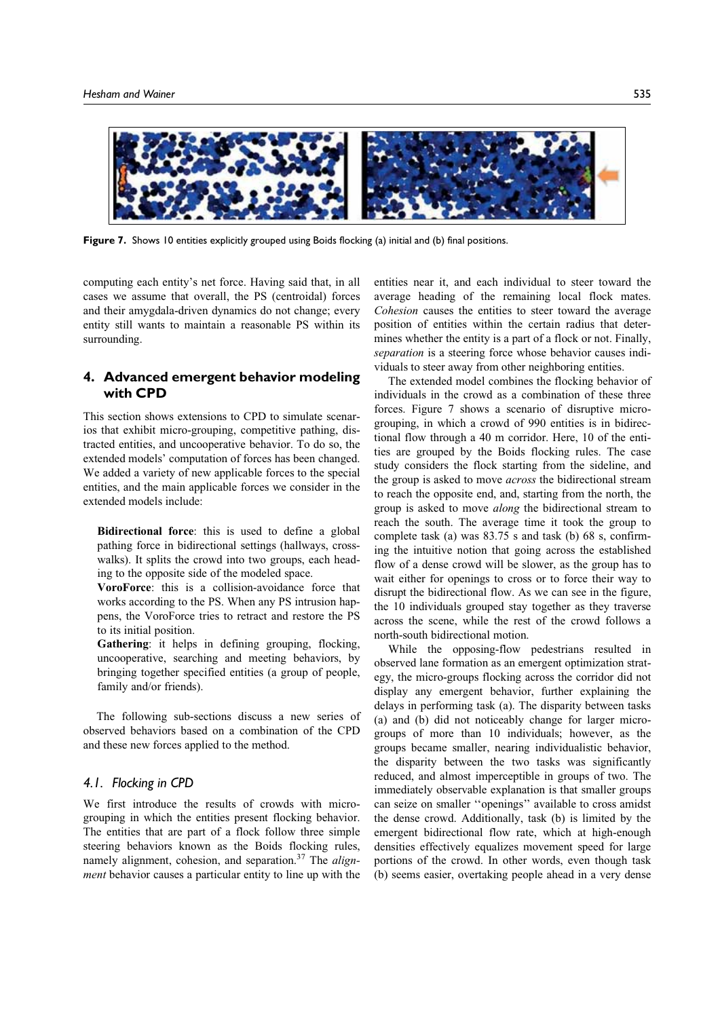

Figure 7. Shows 10 entities explicitly grouped using Boids flocking (a) initial and (b) final positions.

computing each entity's net force. Having said that, in all cases we assume that overall, the PS (centroidal) forces and their amygdala-driven dynamics do not change; every entity still wants to maintain a reasonable PS within its surrounding.

## 4. Advanced emergent behavior modeling with CPD

This section shows extensions to CPD to simulate scenarios that exhibit micro-grouping, competitive pathing, distracted entities, and uncooperative behavior. To do so, the extended models' computation of forces has been changed. We added a variety of new applicable forces to the special entities, and the main applicable forces we consider in the extended models include:

Bidirectional force: this is used to define a global pathing force in bidirectional settings (hallways, crosswalks). It splits the crowd into two groups, each heading to the opposite side of the modeled space.

VoroForce: this is a collision-avoidance force that works according to the PS. When any PS intrusion happens, the VoroForce tries to retract and restore the PS to its initial position.

Gathering: it helps in defining grouping, flocking, uncooperative, searching and meeting behaviors, by bringing together specified entities (a group of people, family and/or friends).

The following sub-sections discuss a new series of observed behaviors based on a combination of the CPD and these new forces applied to the method.

## 4.1. Flocking in CPD

We first introduce the results of crowds with microgrouping in which the entities present flocking behavior. The entities that are part of a flock follow three simple steering behaviors known as the Boids flocking rules, namely alignment, cohesion, and separation.<sup>37</sup> The alignment behavior causes a particular entity to line up with the

entities near it, and each individual to steer toward the average heading of the remaining local flock mates. Cohesion causes the entities to steer toward the average position of entities within the certain radius that determines whether the entity is a part of a flock or not. Finally, separation is a steering force whose behavior causes individuals to steer away from other neighboring entities.

The extended model combines the flocking behavior of individuals in the crowd as a combination of these three forces. Figure 7 shows a scenario of disruptive microgrouping, in which a crowd of 990 entities is in bidirectional flow through a 40 m corridor. Here, 10 of the entities are grouped by the Boids flocking rules. The case study considers the flock starting from the sideline, and the group is asked to move *across* the bidirectional stream to reach the opposite end, and, starting from the north, the group is asked to move along the bidirectional stream to reach the south. The average time it took the group to complete task (a) was 83.75 s and task (b) 68 s, confirming the intuitive notion that going across the established flow of a dense crowd will be slower, as the group has to wait either for openings to cross or to force their way to disrupt the bidirectional flow. As we can see in the figure, the 10 individuals grouped stay together as they traverse across the scene, while the rest of the crowd follows a north-south bidirectional motion.

While the opposing-flow pedestrians resulted in observed lane formation as an emergent optimization strategy, the micro-groups flocking across the corridor did not display any emergent behavior, further explaining the delays in performing task (a). The disparity between tasks (a) and (b) did not noticeably change for larger microgroups of more than 10 individuals; however, as the groups became smaller, nearing individualistic behavior, the disparity between the two tasks was significantly reduced, and almost imperceptible in groups of two. The immediately observable explanation is that smaller groups can seize on smaller ''openings'' available to cross amidst the dense crowd. Additionally, task (b) is limited by the emergent bidirectional flow rate, which at high-enough densities effectively equalizes movement speed for large portions of the crowd. In other words, even though task (b) seems easier, overtaking people ahead in a very dense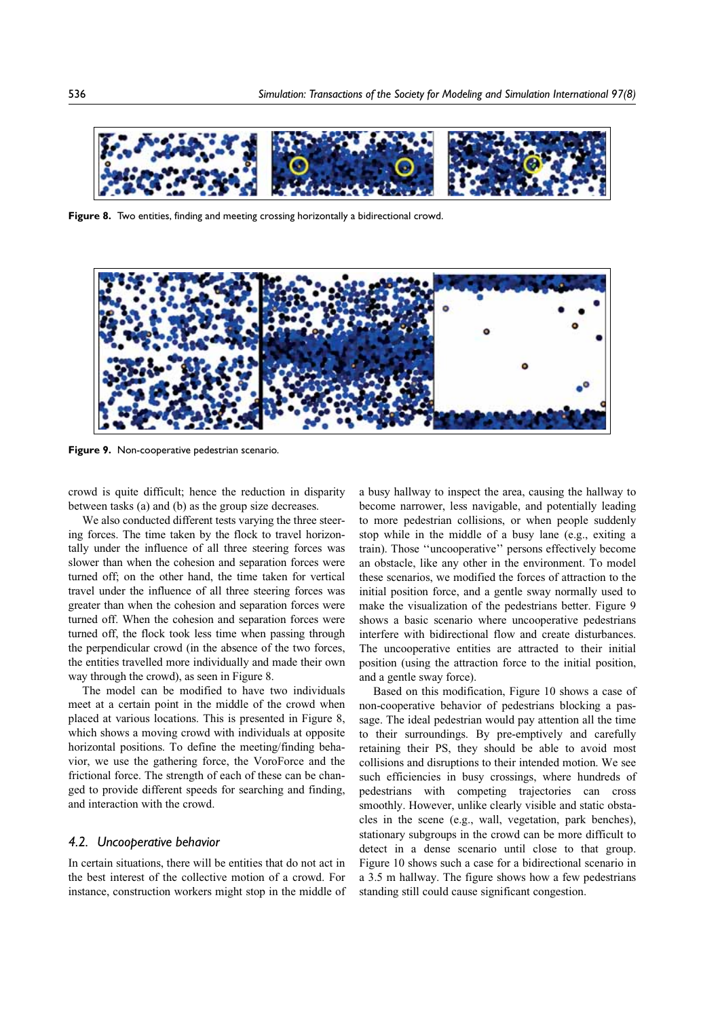

Figure 8. Two entities, finding and meeting crossing horizontally a bidirectional crowd.



Figure 9. Non-cooperative pedestrian scenario.

crowd is quite difficult; hence the reduction in disparity between tasks (a) and (b) as the group size decreases.

We also conducted different tests varying the three steering forces. The time taken by the flock to travel horizontally under the influence of all three steering forces was slower than when the cohesion and separation forces were turned off; on the other hand, the time taken for vertical travel under the influence of all three steering forces was greater than when the cohesion and separation forces were turned off. When the cohesion and separation forces were turned off, the flock took less time when passing through the perpendicular crowd (in the absence of the two forces, the entities travelled more individually and made their own way through the crowd), as seen in Figure 8.

The model can be modified to have two individuals meet at a certain point in the middle of the crowd when placed at various locations. This is presented in Figure 8, which shows a moving crowd with individuals at opposite horizontal positions. To define the meeting/finding behavior, we use the gathering force, the VoroForce and the frictional force. The strength of each of these can be changed to provide different speeds for searching and finding, and interaction with the crowd.

## 4.2. Uncooperative behavior

In certain situations, there will be entities that do not act in the best interest of the collective motion of a crowd. For instance, construction workers might stop in the middle of a busy hallway to inspect the area, causing the hallway to become narrower, less navigable, and potentially leading to more pedestrian collisions, or when people suddenly stop while in the middle of a busy lane (e.g., exiting a train). Those ''uncooperative'' persons effectively become an obstacle, like any other in the environment. To model these scenarios, we modified the forces of attraction to the initial position force, and a gentle sway normally used to make the visualization of the pedestrians better. Figure 9 shows a basic scenario where uncooperative pedestrians interfere with bidirectional flow and create disturbances. The uncooperative entities are attracted to their initial position (using the attraction force to the initial position, and a gentle sway force).

Based on this modification, Figure 10 shows a case of non-cooperative behavior of pedestrians blocking a passage. The ideal pedestrian would pay attention all the time to their surroundings. By pre-emptively and carefully retaining their PS, they should be able to avoid most collisions and disruptions to their intended motion. We see such efficiencies in busy crossings, where hundreds of pedestrians with competing trajectories can cross smoothly. However, unlike clearly visible and static obstacles in the scene (e.g., wall, vegetation, park benches), stationary subgroups in the crowd can be more difficult to detect in a dense scenario until close to that group. Figure 10 shows such a case for a bidirectional scenario in a 3.5 m hallway. The figure shows how a few pedestrians standing still could cause significant congestion.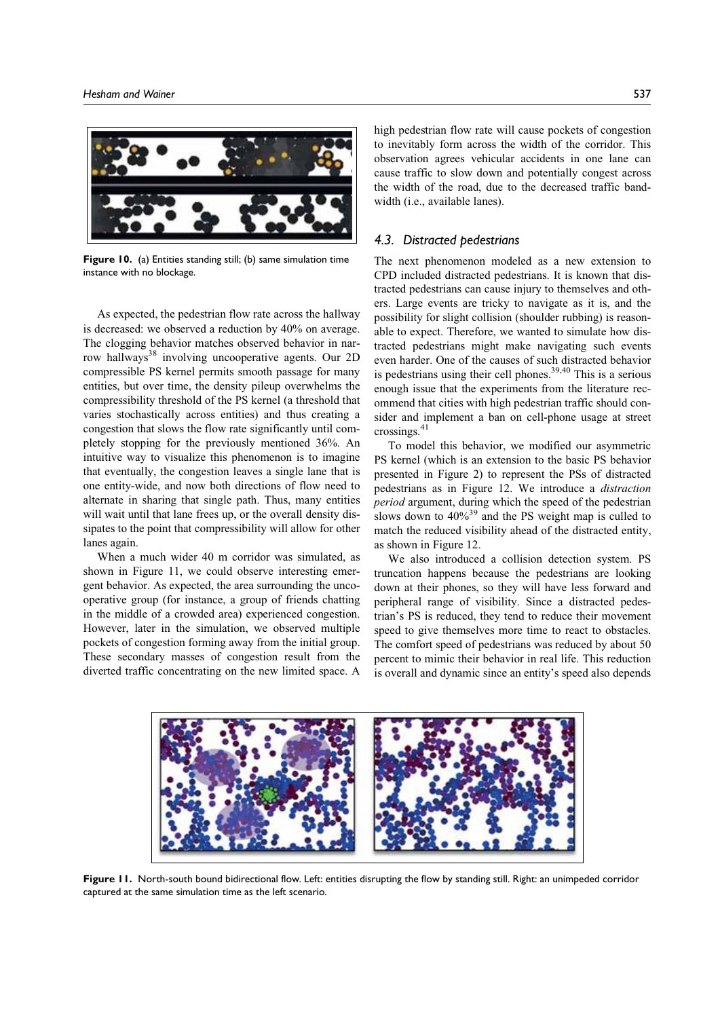

Figure 10. (a) Entities standing still; (b) same simulation time instance with no blockage.

As expected, the pedestrian flow rate across the hallway is decreased: we observed a reduction by 40% on average. The clogging behavior matches observed behavior in narrow hallways<sup>38</sup> involving uncooperative agents. Our 2D compressible PS kernel permits smooth passage for many entities, but over time, the density pileup overwhelms the compressibility threshold of the PS kernel (a threshold that varies stochastically across entities) and thus creating a congestion that slows the flow rate significantly until completely stopping for the previously mentioned 36%. An intuitive way to visualize this phenomenon is to imagine that eventually, the congestion leaves a single lane that is one entity-wide, and now both directions of flow need to alternate in sharing that single path. Thus, many entities will wait until that lane frees up, or the overall density dissipates to the point that compressibility will allow for other lanes again.

When a much wider 40 m corridor was simulated, as shown in Figure 11, we could observe interesting emergent behavior. As expected, the area surrounding the uncooperative group (for instance, a group of friends chatting in the middle of a crowded area) experienced congestion. However, later in the simulation, we observed multiple pockets of congestion forming away from the initial group. These secondary masses of congestion result from the diverted traffic concentrating on the new limited space. A

high pedestrian flow rate will cause pockets of congestion to inevitably form across the width of the corridor. This observation agrees vehicular accidents in one lane can cause traffic to slow down and potentially congest across the width of the road, due to the decreased traffic bandwidth (i.e., available lanes).

## 4.3. Distracted pedestrians

The next phenomenon modeled as a new extension to CPD included distracted pedestrians. It is known that distracted pedestrians can cause injury to themselves and others. Large events are tricky to navigate as it is, and the possibility for slight collision (shoulder rubbing) is reasonable to expect. Therefore, we wanted to simulate how distracted pedestrians might make navigating such events even harder. One of the causes of such distracted behavior is pedestrians using their cell phones.<sup>39,40</sup> This is a serious enough issue that the experiments from the literature recommend that cities with high pedestrian traffic should consider and implement a ban on cell-phone usage at street crossings.41

To model this behavior, we modified our asymmetric PS kernel (which is an extension to the basic PS behavior presented in Figure 2) to represent the PSs of distracted pedestrians as in Figure 12. We introduce a distraction period argument, during which the speed of the pedestrian slows down to  $40\%^{39}$  and the PS weight map is culled to match the reduced visibility ahead of the distracted entity, as shown in Figure 12.

We also introduced a collision detection system. PS truncation happens because the pedestrians are looking down at their phones, so they will have less forward and peripheral range of visibility. Since a distracted pedestrian's PS is reduced, they tend to reduce their movement speed to give themselves more time to react to obstacles. The comfort speed of pedestrians was reduced by about 50 percent to mimic their behavior in real life. This reduction is overall and dynamic since an entity's speed also depends



Figure 11. North-south bound bidirectional flow. Left: entities disrupting the flow by standing still. Right: an unimpeded corridor captured at the same simulation time as the left scenario.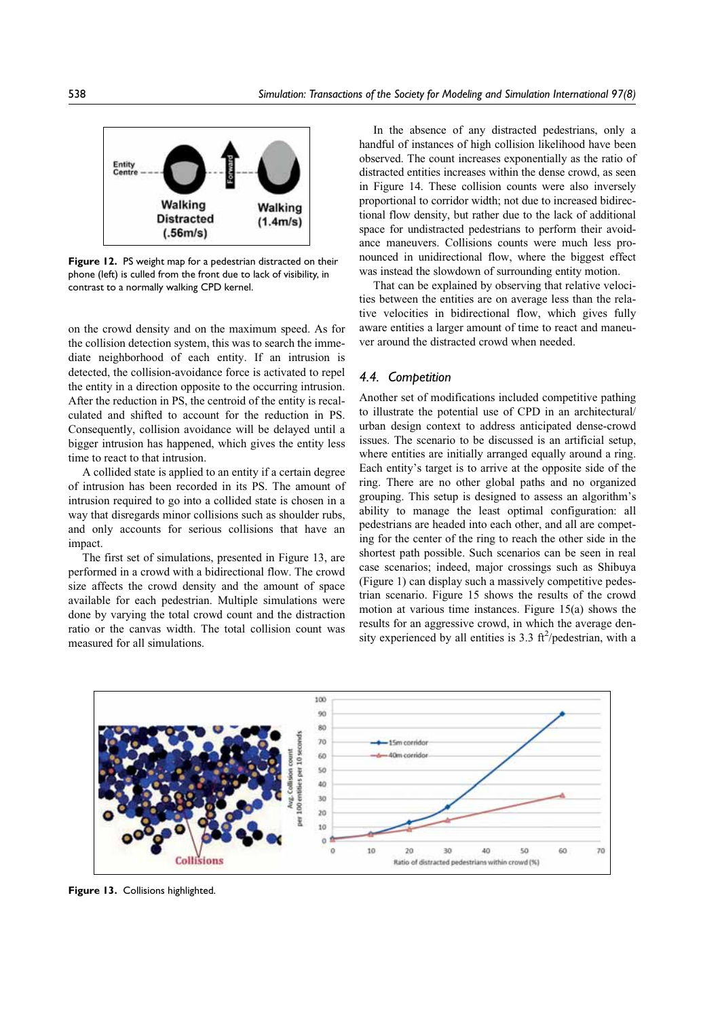

Figure 12. PS weight map for a pedestrian distracted on their phone (left) is culled from the front due to lack of visibility, in contrast to a normally walking CPD kernel.

on the crowd density and on the maximum speed. As for the collision detection system, this was to search the immediate neighborhood of each entity. If an intrusion is detected, the collision-avoidance force is activated to repel the entity in a direction opposite to the occurring intrusion. After the reduction in PS, the centroid of the entity is recalculated and shifted to account for the reduction in PS. Consequently, collision avoidance will be delayed until a bigger intrusion has happened, which gives the entity less time to react to that intrusion.

A collided state is applied to an entity if a certain degree of intrusion has been recorded in its PS. The amount of intrusion required to go into a collided state is chosen in a way that disregards minor collisions such as shoulder rubs, and only accounts for serious collisions that have an impact.

The first set of simulations, presented in Figure 13, are performed in a crowd with a bidirectional flow. The crowd size affects the crowd density and the amount of space available for each pedestrian. Multiple simulations were done by varying the total crowd count and the distraction ratio or the canvas width. The total collision count was measured for all simulations.

In the absence of any distracted pedestrians, only a handful of instances of high collision likelihood have been observed. The count increases exponentially as the ratio of distracted entities increases within the dense crowd, as seen in Figure 14. These collision counts were also inversely proportional to corridor width; not due to increased bidirectional flow density, but rather due to the lack of additional space for undistracted pedestrians to perform their avoidance maneuvers. Collisions counts were much less pronounced in unidirectional flow, where the biggest effect was instead the slowdown of surrounding entity motion.

That can be explained by observing that relative velocities between the entities are on average less than the relative velocities in bidirectional flow, which gives fully aware entities a larger amount of time to react and maneuver around the distracted crowd when needed.

### 4.4. Competition

Another set of modifications included competitive pathing to illustrate the potential use of CPD in an architectural/ urban design context to address anticipated dense-crowd issues. The scenario to be discussed is an artificial setup, where entities are initially arranged equally around a ring. Each entity's target is to arrive at the opposite side of the ring. There are no other global paths and no organized grouping. This setup is designed to assess an algorithm's ability to manage the least optimal configuration: all pedestrians are headed into each other, and all are competing for the center of the ring to reach the other side in the shortest path possible. Such scenarios can be seen in real case scenarios; indeed, major crossings such as Shibuya (Figure 1) can display such a massively competitive pedestrian scenario. Figure 15 shows the results of the crowd motion at various time instances. Figure 15(a) shows the results for an aggressive crowd, in which the average density experienced by all entities is  $3.3 \text{ ft}^2/\text{pedestrian, with a}$ 



Figure 13. Collisions highlighted.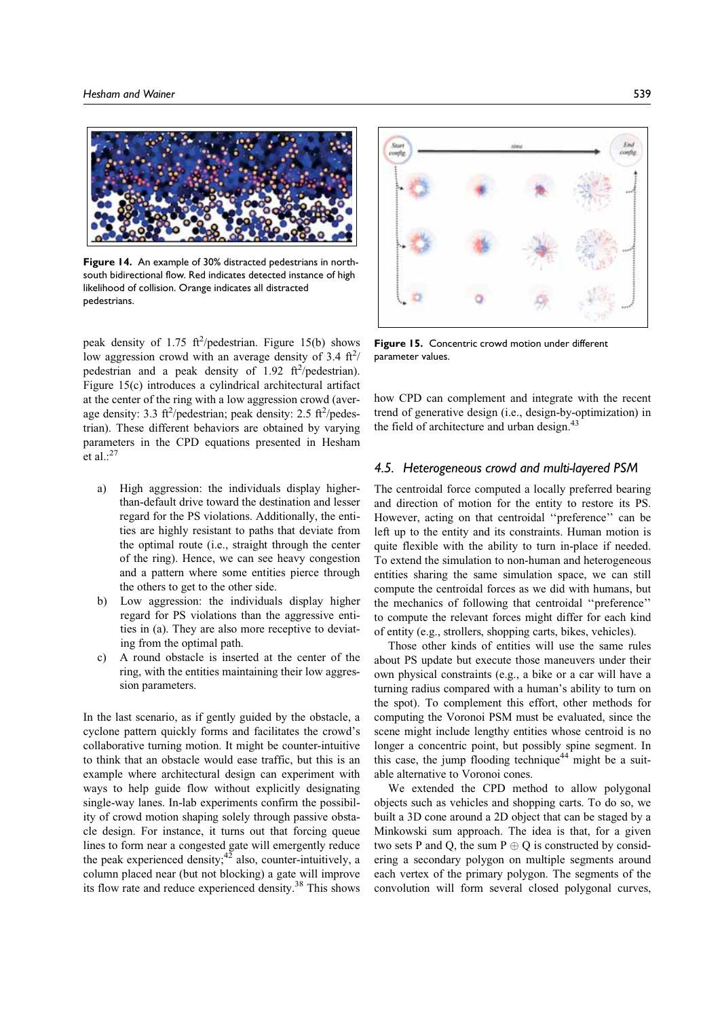

Figure 14. An example of 30% distracted pedestrians in northsouth bidirectional flow. Red indicates detected instance of high likelihood of collision. Orange indicates all distracted pedestrians.

peak density of 1.75  $\frac{\text{ft}^2}{\text{p}}$ edestrian. Figure 15(b) shows low aggression crowd with an average density of 3.4  $\text{ft}^2$ / pedestrian and a peak density of 1.92  $\text{ft}^2/\text{pedestrian}$ ). Figure 15(c) introduces a cylindrical architectural artifact at the center of the ring with a low aggression crowd (average density: 3.3 ft<sup>2</sup>/pedestrian; peak density: 2.5 ft<sup>2</sup>/pedestrian). These different behaviors are obtained by varying parameters in the CPD equations presented in Hesham et al.: $27$ 

- a) High aggression: the individuals display higherthan-default drive toward the destination and lesser regard for the PS violations. Additionally, the entities are highly resistant to paths that deviate from the optimal route (i.e., straight through the center of the ring). Hence, we can see heavy congestion and a pattern where some entities pierce through the others to get to the other side.
- b) Low aggression: the individuals display higher regard for PS violations than the aggressive entities in (a). They are also more receptive to deviating from the optimal path.
- c) A round obstacle is inserted at the center of the ring, with the entities maintaining their low aggression parameters.

In the last scenario, as if gently guided by the obstacle, a cyclone pattern quickly forms and facilitates the crowd's collaborative turning motion. It might be counter-intuitive to think that an obstacle would ease traffic, but this is an example where architectural design can experiment with ways to help guide flow without explicitly designating single-way lanes. In-lab experiments confirm the possibility of crowd motion shaping solely through passive obstacle design. For instance, it turns out that forcing queue lines to form near a congested gate will emergently reduce the peak experienced density; $4^2$  also, counter-intuitively, a column placed near (but not blocking) a gate will improve its flow rate and reduce experienced density.38 This shows



Figure 15. Concentric crowd motion under different parameter values.

how CPD can complement and integrate with the recent trend of generative design (i.e., design-by-optimization) in the field of architecture and urban design.<sup>43</sup>

## 4.5. Heterogeneous crowd and multi-layered PSM

The centroidal force computed a locally preferred bearing and direction of motion for the entity to restore its PS. However, acting on that centroidal ''preference'' can be left up to the entity and its constraints. Human motion is quite flexible with the ability to turn in-place if needed. To extend the simulation to non-human and heterogeneous entities sharing the same simulation space, we can still compute the centroidal forces as we did with humans, but the mechanics of following that centroidal ''preference'' to compute the relevant forces might differ for each kind of entity (e.g., strollers, shopping carts, bikes, vehicles).

Those other kinds of entities will use the same rules about PS update but execute those maneuvers under their own physical constraints (e.g., a bike or a car will have a turning radius compared with a human's ability to turn on the spot). To complement this effort, other methods for computing the Voronoi PSM must be evaluated, since the scene might include lengthy entities whose centroid is no longer a concentric point, but possibly spine segment. In this case, the jump flooding technique<sup>44</sup> might be a suitable alternative to Voronoi cones.

We extended the CPD method to allow polygonal objects such as vehicles and shopping carts. To do so, we built a 3D cone around a 2D object that can be staged by a Minkowski sum approach. The idea is that, for a given two sets P and Q, the sum  $P \oplus Q$  is constructed by considering a secondary polygon on multiple segments around each vertex of the primary polygon. The segments of the convolution will form several closed polygonal curves,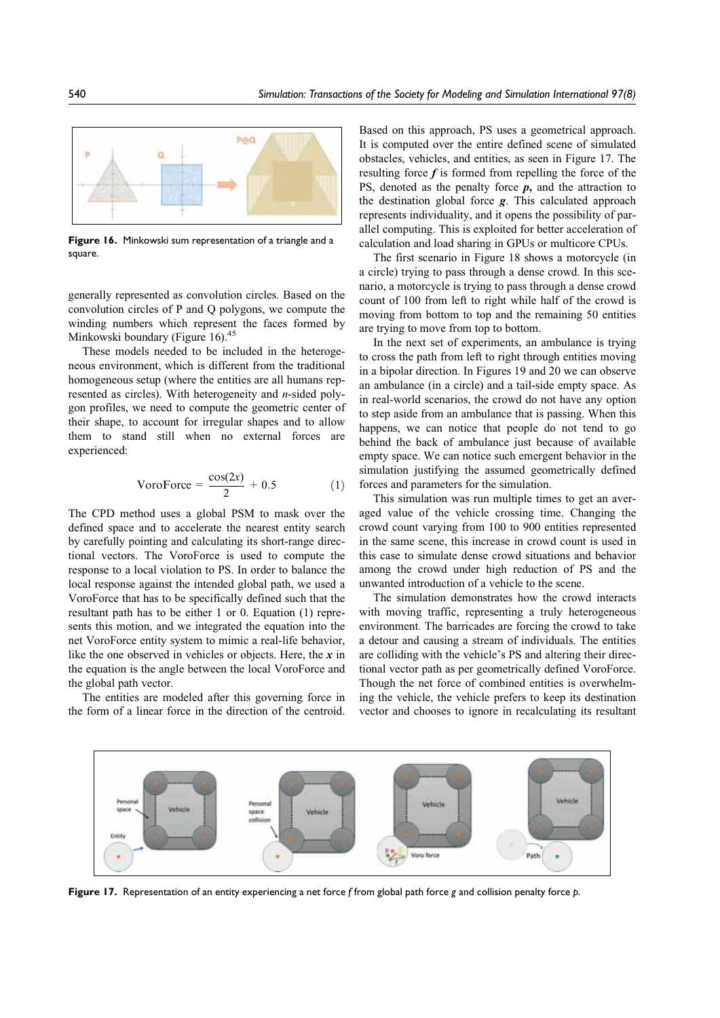

Figure 16. Minkowski sum representation of a triangle and a square.

generally represented as convolution circles. Based on the convolution circles of P and Q polygons, we compute the winding numbers which represent the faces formed by Minkowski boundary (Figure 16).<sup>45</sup>

These models needed to be included in the heterogeneous environment, which is different from the traditional homogeneous setup (where the entities are all humans represented as circles). With heterogeneity and n-sided polygon profiles, we need to compute the geometric center of their shape, to account for irregular shapes and to allow them to stand still when no external forces are experienced:

$$
VoroForce = \frac{\cos(2x)}{2} + 0.5 \tag{1}
$$

The CPD method uses a global PSM to mask over the defined space and to accelerate the nearest entity search by carefully pointing and calculating its short-range directional vectors. The VoroForce is used to compute the response to a local violation to PS. In order to balance the local response against the intended global path, we used a VoroForce that has to be specifically defined such that the resultant path has to be either 1 or 0. Equation (1) represents this motion, and we integrated the equation into the net VoroForce entity system to mimic a real-life behavior, like the one observed in vehicles or objects. Here, the  $x$  in the equation is the angle between the local VoroForce and the global path vector.

The entities are modeled after this governing force in the form of a linear force in the direction of the centroid.

Based on this approach, PS uses a geometrical approach. It is computed over the entire defined scene of simulated obstacles, vehicles, and entities, as seen in Figure 17. The resulting force  $f$  is formed from repelling the force of the PS, denoted as the penalty force  $p$ , and the attraction to the destination global force g. This calculated approach represents individuality, and it opens the possibility of parallel computing. This is exploited for better acceleration of calculation and load sharing in GPUs or multicore CPUs.

The first scenario in Figure 18 shows a motorcycle (in a circle) trying to pass through a dense crowd. In this scenario, a motorcycle is trying to pass through a dense crowd count of 100 from left to right while half of the crowd is moving from bottom to top and the remaining 50 entities are trying to move from top to bottom.

In the next set of experiments, an ambulance is trying to cross the path from left to right through entities moving in a bipolar direction. In Figures 19 and 20 we can observe an ambulance (in a circle) and a tail-side empty space. As in real-world scenarios, the crowd do not have any option to step aside from an ambulance that is passing. When this happens, we can notice that people do not tend to go behind the back of ambulance just because of available empty space. We can notice such emergent behavior in the simulation justifying the assumed geometrically defined forces and parameters for the simulation.

This simulation was run multiple times to get an averaged value of the vehicle crossing time. Changing the crowd count varying from 100 to 900 entities represented in the same scene, this increase in crowd count is used in this case to simulate dense crowd situations and behavior among the crowd under high reduction of PS and the unwanted introduction of a vehicle to the scene.

The simulation demonstrates how the crowd interacts with moving traffic, representing a truly heterogeneous environment. The barricades are forcing the crowd to take a detour and causing a stream of individuals. The entities are colliding with the vehicle's PS and altering their directional vector path as per geometrically defined VoroForce. Though the net force of combined entities is overwhelming the vehicle, the vehicle prefers to keep its destination vector and chooses to ignore in recalculating its resultant



Figure 17. Representation of an entity experiencing a net force f from global path force g and collision penalty force p.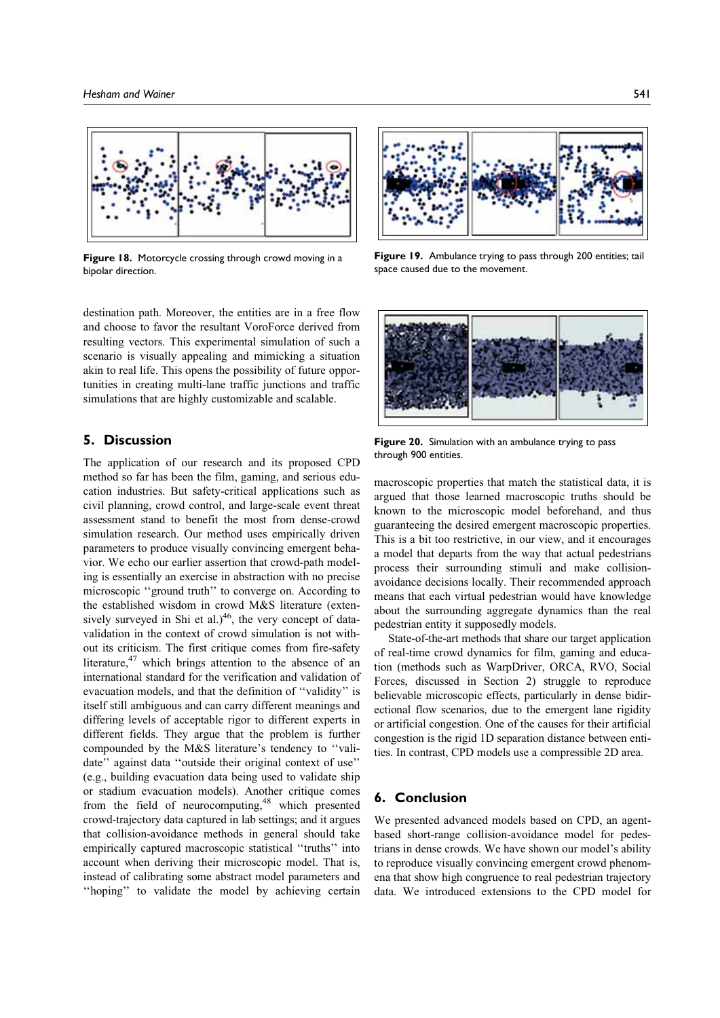

Figure 18. Motorcycle crossing through crowd moving in a bipolar direction.

destination path. Moreover, the entities are in a free flow and choose to favor the resultant VoroForce derived from resulting vectors. This experimental simulation of such a scenario is visually appealing and mimicking a situation akin to real life. This opens the possibility of future opportunities in creating multi-lane traffic junctions and traffic simulations that are highly customizable and scalable.

#### 5. Discussion

The application of our research and its proposed CPD method so far has been the film, gaming, and serious education industries. But safety-critical applications such as civil planning, crowd control, and large-scale event threat assessment stand to benefit the most from dense-crowd simulation research. Our method uses empirically driven parameters to produce visually convincing emergent behavior. We echo our earlier assertion that crowd-path modeling is essentially an exercise in abstraction with no precise microscopic ''ground truth'' to converge on. According to the established wisdom in crowd M&S literature (extensively surveyed in Shi et al.) $46$ , the very concept of datavalidation in the context of crowd simulation is not without its criticism. The first critique comes from fire-safety literature,47 which brings attention to the absence of an international standard for the verification and validation of evacuation models, and that the definition of ''validity'' is itself still ambiguous and can carry different meanings and differing levels of acceptable rigor to different experts in different fields. They argue that the problem is further compounded by the M&S literature's tendency to ''validate'' against data ''outside their original context of use'' (e.g., building evacuation data being used to validate ship or stadium evacuation models). Another critique comes from the field of neurocomputing, $48$  which presented crowd-trajectory data captured in lab settings; and it argues that collision-avoidance methods in general should take empirically captured macroscopic statistical ''truths'' into account when deriving their microscopic model. That is, instead of calibrating some abstract model parameters and ''hoping'' to validate the model by achieving certain



Figure 19. Ambulance trying to pass through 200 entities; tail space caused due to the movement.



Figure 20. Simulation with an ambulance trying to pass through 900 entities.

macroscopic properties that match the statistical data, it is argued that those learned macroscopic truths should be known to the microscopic model beforehand, and thus guaranteeing the desired emergent macroscopic properties. This is a bit too restrictive, in our view, and it encourages a model that departs from the way that actual pedestrians process their surrounding stimuli and make collisionavoidance decisions locally. Their recommended approach means that each virtual pedestrian would have knowledge about the surrounding aggregate dynamics than the real pedestrian entity it supposedly models.

State-of-the-art methods that share our target application of real-time crowd dynamics for film, gaming and education (methods such as WarpDriver, ORCA, RVO, Social Forces, discussed in Section 2) struggle to reproduce believable microscopic effects, particularly in dense bidirectional flow scenarios, due to the emergent lane rigidity or artificial congestion. One of the causes for their artificial congestion is the rigid 1D separation distance between entities. In contrast, CPD models use a compressible 2D area.

## 6. Conclusion

We presented advanced models based on CPD, an agentbased short-range collision-avoidance model for pedestrians in dense crowds. We have shown our model's ability to reproduce visually convincing emergent crowd phenomena that show high congruence to real pedestrian trajectory data. We introduced extensions to the CPD model for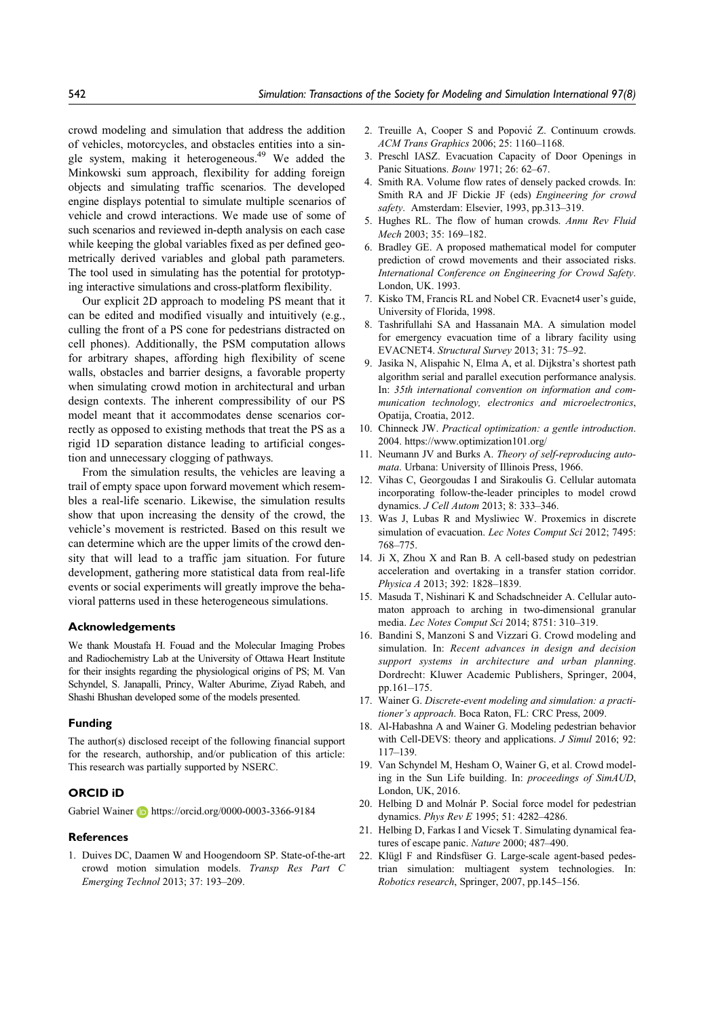crowd modeling and simulation that address the addition of vehicles, motorcycles, and obstacles entities into a single system, making it heterogeneous.<sup>49</sup> We added the Minkowski sum approach, flexibility for adding foreign objects and simulating traffic scenarios. The developed engine displays potential to simulate multiple scenarios of vehicle and crowd interactions. We made use of some of such scenarios and reviewed in-depth analysis on each case while keeping the global variables fixed as per defined geometrically derived variables and global path parameters. The tool used in simulating has the potential for prototyping interactive simulations and cross-platform flexibility.

Our explicit 2D approach to modeling PS meant that it can be edited and modified visually and intuitively (e.g., culling the front of a PS cone for pedestrians distracted on cell phones). Additionally, the PSM computation allows for arbitrary shapes, affording high flexibility of scene walls, obstacles and barrier designs, a favorable property when simulating crowd motion in architectural and urban design contexts. The inherent compressibility of our PS model meant that it accommodates dense scenarios correctly as opposed to existing methods that treat the PS as a rigid 1D separation distance leading to artificial congestion and unnecessary clogging of pathways.

From the simulation results, the vehicles are leaving a trail of empty space upon forward movement which resembles a real-life scenario. Likewise, the simulation results show that upon increasing the density of the crowd, the vehicle's movement is restricted. Based on this result we can determine which are the upper limits of the crowd density that will lead to a traffic jam situation. For future development, gathering more statistical data from real-life events or social experiments will greatly improve the behavioral patterns used in these heterogeneous simulations.

#### Acknowledgements

We thank Moustafa H. Fouad and the Molecular Imaging Probes and Radiochemistry Lab at the University of Ottawa Heart Institute for their insights regarding the physiological origins of PS; M. Van Schyndel, S. Janapalli, Princy, Walter Aburime, Ziyad Rabeh, and Shashi Bhushan developed some of the models presented.

#### Funding

The author(s) disclosed receipt of the following financial support for the research, authorship, and/or publication of this article: This research was partially supported by NSERC.

## ORCID iD

Gabriel Wainer **b** https://orcid.org/0000-0003-3366-9184

## **References**

1. Duives DC, Daamen W and Hoogendoorn SP. State-of-the-art crowd motion simulation models. Transp Res Part C Emerging Technol 2013; 37: 193–209.

- 2. Treuille A, Cooper S and Popovic´ Z. Continuum crowds. ACM Trans Graphics 2006; 25: 1160–1168.
- 3. Preschl IASZ. Evacuation Capacity of Door Openings in Panic Situations. Bouw 1971; 26: 62–67.
- 4. Smith RA. Volume flow rates of densely packed crowds. In: Smith RA and JF Dickie JF (eds) Engineering for crowd safety. Amsterdam: Elsevier, 1993, pp.313-319.
- 5. Hughes RL. The flow of human crowds. Annu Rev Fluid Mech 2003; 35: 169–182.
- 6. Bradley GE. A proposed mathematical model for computer prediction of crowd movements and their associated risks. International Conference on Engineering for Crowd Safety. London, UK. 1993.
- 7. Kisko TM, Francis RL and Nobel CR. Evacnet4 user's guide, University of Florida, 1998.
- 8. Tashrifullahi SA and Hassanain MA. A simulation model for emergency evacuation time of a library facility using EVACNET4. Structural Survey 2013; 31: 75–92.
- 9. Jasika N, Alispahic N, Elma A, et al. Dijkstra's shortest path algorithm serial and parallel execution performance analysis. In: 35th international convention on information and communication technology, electronics and microelectronics, Opatija, Croatia, 2012.
- 10. Chinneck JW. Practical optimization: a gentle introduction. 2004. https://www.optimization101.org/
- 11. Neumann JV and Burks A. Theory of self-reproducing automata. Urbana: University of Illinois Press, 1966.
- 12. Vihas C, Georgoudas I and Sirakoulis G. Cellular automata incorporating follow-the-leader principles to model crowd dynamics. J Cell Autom 2013; 8: 333–346.
- 13. Was J, Lubas R and Mysliwiec W. Proxemics in discrete simulation of evacuation. Lec Notes Comput Sci 2012; 7495: 768–775.
- 14. Ji X, Zhou X and Ran B. A cell-based study on pedestrian acceleration and overtaking in a transfer station corridor. Physica A 2013; 392: 1828–1839.
- 15. Masuda T, Nishinari K and Schadschneider A. Cellular automaton approach to arching in two-dimensional granular media. Lec Notes Comput Sci 2014; 8751: 310–319.
- 16. Bandini S, Manzoni S and Vizzari G. Crowd modeling and simulation. In: Recent advances in design and decision support systems in architecture and urban planning. Dordrecht: Kluwer Academic Publishers, Springer, 2004, pp.161–175.
- 17. Wainer G. Discrete-event modeling and simulation: a practitioner's approach. Boca Raton, FL: CRC Press, 2009.
- 18. Al-Habashna A and Wainer G. Modeling pedestrian behavior with Cell-DEVS: theory and applications. *J Simul* 2016; 92: 117–139.
- 19. Van Schyndel M, Hesham O, Wainer G, et al. Crowd modeling in the Sun Life building. In: proceedings of SimAUD, London, UK, 2016.
- 20. Helbing D and Molnár P. Social force model for pedestrian dynamics. Phys Rev E 1995; 51: 4282–4286.
- 21. Helbing D, Farkas I and Vicsek T. Simulating dynamical features of escape panic. Nature 2000; 487–490.
- 22. Klügl F and Rindsfüser G. Large-scale agent-based pedestrian simulation: multiagent system technologies. In: Robotics research, Springer, 2007, pp.145–156.